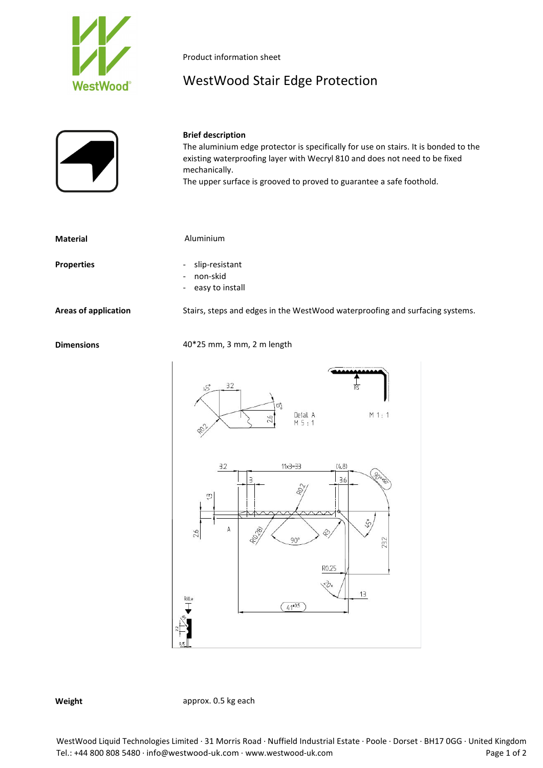

Product information sheet

## WestWood Stair Edge Protection



## **Brief description**

The aluminium edge protector is specifically for use on stairs. It is bonded to the existing waterproofing layer with Wecryl 810 and does not need to be fixed mechanically.

The upper surface is grooved to proved to guarantee a safe foothold.

| <b>Material</b>      | Aluminium                                                                          |
|----------------------|------------------------------------------------------------------------------------|
| <b>Properties</b>    | slip-resistant<br>$\overline{\phantom{0}}$<br>non-skid<br>$-$<br>- easy to install |
| Areas of application | Stairs, steps and edges in the WestWood waterproofing and surfacing systems.       |
| <b>Dimensions</b>    | $40*25$ mm, 3 mm, 2 m length                                                       |



**Weight approx.** 0.5 kg each